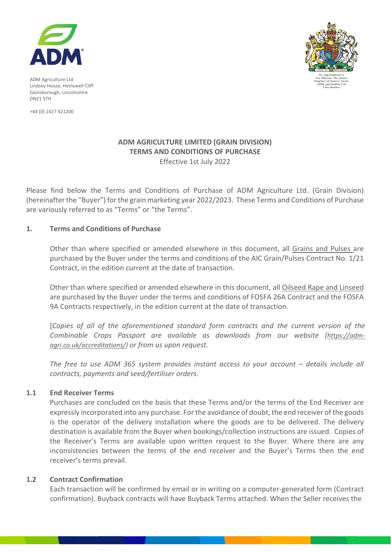

ADM Agriculture Ltd Lindsey House, Hemswell Cliff Gainsborough, Lincolnshire DN21 5TH

+44 (0) 1427 421200



# **ADM AGRICULTURE LIMITED (GRAIN DIVISION) TERMS AND CONDITIONS OF PURCHASE** Effective 1st July 2022

Please find below the Terms and Conditions of Purchase of ADM Agriculture Ltd. (Grain Division) (hereinafter the "Buyer") for the grain marketing year 2022/2023. These Terms and Conditions of Purchase are variously referred to as "Terms" or "the Terms".

# **1. Terms and Conditions of Purchase**

Other than where specified or amended elsewhere in this document, all Grains and Pulses are purchased by the Buyer under the terms and conditions of the AIC Grain/Pulses Contract No. 1/21 Contract, in the edition current at the date of transaction.

Other than where specified or amended elsewhere in this document, all Oilseed Rape and Linseed are purchased by the Buyer under the terms and conditions of FOSFA 26A Contract and the FOSFA 9A Contracts respectively, in the edition current at the date of transaction.

[*Copies of all of the aforementioned standard form contracts and the current version of the*  Combinable Crops Passport are available as downloads from our website [\(https://adm](https://adm-agri.co.uk/accreditations/)*[agri.co.uk/accreditations/\)](https://adm-agri.co.uk/accreditations/) or from us upon request.*

*The free to use ADM 365 system provides instant access to your account – details include all contracts, payments and seed/fertiliser orders*.

### **1.1 End Receiver Terms**

Purchases are concluded on the basis that these Terms and/or the terms of the End Receiver are expressly incorporated into any purchase. For the avoidance of doubt, the end receiver of the goods is the operator of the delivery installation where the goods are to be delivered. The delivery destination is available from the Buyer when bookings/collection instructions are issued. Copies of the Receiver's Terms are available upon written request to the Buyer. Where there are any inconsistencies between the terms of the end receiver and the Buyer's Terms then the end receiver's terms prevail.

### **1.2 Contract Confirmation**

Each transaction will be confirmed by email or in writing on a computer-generated form (Contract confirmation). Buyback contracts will have Buyback Terms attached. When the Seller receives the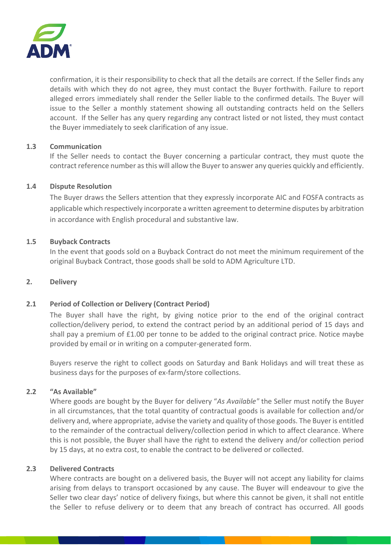

confirmation, it is their responsibility to check that all the details are correct. If the Seller finds any details with which they do not agree, they must contact the Buyer forthwith. Failure to report alleged errors immediately shall render the Seller liable to the confirmed details. The Buyer will issue to the Seller a monthly statement showing all outstanding contracts held on the Sellers account. If the Seller has any query regarding any contract listed or not listed, they must contact the Buyer immediately to seek clarification of any issue.

### **1.3 Communication**

If the Seller needs to contact the Buyer concerning a particular contract, they must quote the contract reference number as this will allow the Buyer to answer any queries quickly and efficiently.

### **1.4 Dispute Resolution**

The Buyer draws the Sellers attention that they expressly incorporate AIC and FOSFA contracts as applicable which respectively incorporate a written agreement to determine disputes by arbitration in accordance with English procedural and substantive law.

# **1.5 Buyback Contracts**

In the event that goods sold on a Buyback Contract do not meet the minimum requirement of the original Buyback Contract, those goods shall be sold to ADM Agriculture LTD.

### **2. Delivery**

### **2.1 Period of Collection or Delivery (Contract Period)**

The Buyer shall have the right, by giving notice prior to the end of the original contract collection/delivery period, to extend the contract period by an additional period of 15 days and shall pay a premium of £1.00 per tonne to be added to the original contract price. Notice maybe provided by email or in writing on a computer-generated form.

Buyers reserve the right to collect goods on Saturday and Bank Holidays and will treat these as business days for the purposes of ex-farm/store collections.

## **2.2 "As Available"**

Where goods are bought by the Buyer for delivery "*As Available"* the Seller must notify the Buyer in all circumstances, that the total quantity of contractual goods is available for collection and/or delivery and, where appropriate, advise the variety and quality of those goods. The Buyer is entitled to the remainder of the contractual delivery/collection period in which to affect clearance. Where this is not possible, the Buyer shall have the right to extend the delivery and/or collection period by 15 days, at no extra cost, to enable the contract to be delivered or collected.

### **2.3 Delivered Contracts**

Where contracts are bought on a delivered basis, the Buyer will not accept any liability for claims arising from delays to transport occasioned by any cause. The Buyer will endeavour to give the Seller two clear days' notice of delivery fixings, but where this cannot be given, it shall not entitle the Seller to refuse delivery or to deem that any breach of contract has occurred. All goods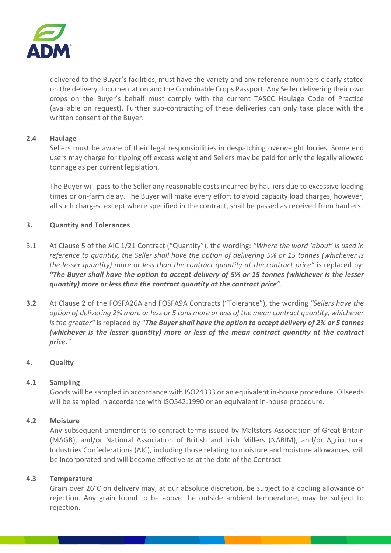

delivered to the Buyer's facilities, must have the variety and any reference numbers clearly stated on the delivery documentation and the Combinable Crops Passport. Any Seller delivering their own crops on the Buyer's behalf must comply with the current TASCC Haulage Code of Practice (available on request). Further sub-contracting of these deliveries can only take place with the written consent of the Buyer.

# **2.4 Haulage**

Sellers must be aware of their legal responsibilities in despatching overweight lorries. Some end users may charge for tipping off excess weight and Sellers may be paid for only the legally allowed tonnage as per current legislation.

The Buyer will pass to the Seller any reasonable costs incurred by hauliers due to excessive loading times or on-farm delay. The Buyer will make every effort to avoid capacity load charges, however, all such charges, except where specified in the contract, shall be passed as received from hauliers.

# **3. Quantity and Tolerances**

- 3.1 At Clause 5 of the AIC 1/21 Contract ("Quantity"), the wording: *"Where the word 'about' is used in reference to quantity, the Seller shall have the option of delivering 5% or 15 tonnes (whichever is the lesser quantity) more or less than the contract quantity at the contract price"* is replaced by: *"The Buyer shall have the option to accept delivery of 5% or 15 tonnes (whichever is the lesser quantity) more or less than the contract quantity at the contract price".*
- **3.2** At Clause 2 of the FOSFA26A and FOSFA9A Contracts ("Tolerance"), the wording *"Sellers have the option of delivering 2% more or less or 5 tons more or less of the mean contract quantity, whichever is the greater"* is replaced by *"The Buyer shall have the option to accept delivery of 2% or 5 tonnes (whichever is the lesser quantity) more or less of the mean contract quantity at the contract price."*

# **4. Quality**

### **4.1 Sampling**

Goods will be sampled in accordance with ISO24333 or an equivalent in-house procedure. Oilseeds will be sampled in accordance with ISO542:1990 or an equivalent in-house procedure.

### **4.2 Moisture**

Any subsequent amendments to contract terms issued by Maltsters Association of Great Britain (MAGB), and/or National Association of British and Irish Millers (NABIM), and/or Agricultural Industries Confederations (AIC), including those relating to moisture and moisture allowances, will be incorporated and will become effective as at the date of the Contract.

### **4.3 Temperature**

Grain over 26°C on delivery may, at our absolute discretion, be subject to a cooling allowance or rejection. Any grain found to be above the outside ambient temperature, may be subject to rejection.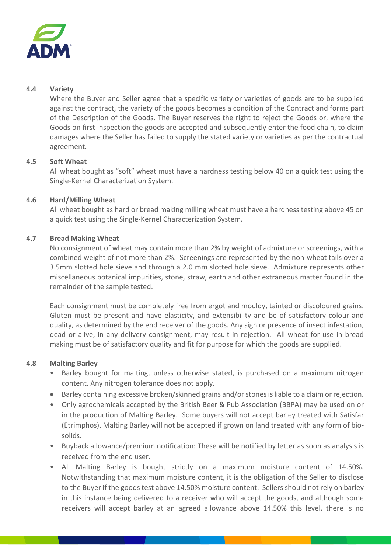

## **4.4 Variety**

Where the Buyer and Seller agree that a specific variety or varieties of goods are to be supplied against the contract, the variety of the goods becomes a condition of the Contract and forms part of the Description of the Goods. The Buyer reserves the right to reject the Goods or, where the Goods on first inspection the goods are accepted and subsequently enter the food chain, to claim damages where the Seller has failed to supply the stated variety or varieties as per the contractual agreement.

# **4.5 Soft Wheat**

All wheat bought as "soft" wheat must have a hardness testing below 40 on a quick test using the Single-Kernel Characterization System.

# **4.6 Hard/Milling Wheat**

All wheat bought as hard or bread making milling wheat must have a hardness testing above 45 on a quick test using the Single-Kernel Characterization System.

# **4.7 Bread Making Wheat**

No consignment of wheat may contain more than 2% by weight of admixture or screenings, with a combined weight of not more than 2%. Screenings are represented by the non-wheat tails over a 3.5mm slotted hole sieve and through a 2.0 mm slotted hole sieve. Admixture represents other miscellaneous botanical impurities, stone, straw, earth and other extraneous matter found in the remainder of the sample tested.

Each consignment must be completely free from ergot and mouldy, tainted or discoloured grains. Gluten must be present and have elasticity, and extensibility and be of satisfactory colour and quality, as determined by the end receiver of the goods. Any sign or presence of insect infestation, dead or alive, in any delivery consignment, may result in rejection. All wheat for use in bread making must be of satisfactory quality and fit for purpose for which the goods are supplied.

### **4.8 Malting Barley**

- Barley bought for malting, unless otherwise stated, is purchased on a maximum nitrogen content. Any nitrogen tolerance does not apply.
- Barley containing excessive broken/skinned grains and/or stones is liable to a claim or rejection.
- Only agrochemicals accepted by the British Beer & Pub Association (BBPA) may be used on or in the production of Malting Barley. Some buyers will not accept barley treated with Satisfar (Etrimphos). Malting Barley will not be accepted if grown on land treated with any form of biosolids.
- Buyback allowance/premium notification: These will be notified by letter as soon as analysis is received from the end user.
- All Malting Barley is bought strictly on a maximum moisture content of 14.50%. Notwithstanding that maximum moisture content, it is the obligation of the Seller to disclose to the Buyer if the goods test above 14.50% moisture content. Sellers should not rely on barley in this instance being delivered to a receiver who will accept the goods, and although some receivers will accept barley at an agreed allowance above 14.50% this level, there is no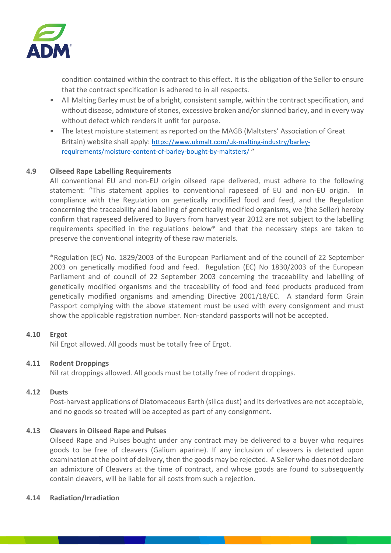

condition contained within the contract to this effect. It is the obligation of the Seller to ensure that the contract specification is adhered to in all respects.

- All Malting Barley must be of a bright, consistent sample, within the contract specification, and without disease, admixture of stones, excessive broken and/or skinned barley, and in every way without defect which renders it unfit for purpose.
- The latest moisture statement as reported on the MAGB (Maltsters' Association of Great Britain) website shall apply: [https://www.ukmalt.com/uk-malting-industry/barley](https://nam02.safelinks.protection.outlook.com/?url=https%3A%2F%2Fwww.ukmalt.com%2Fuk-malting-industry%2Fbarley-requirements%2Fmoisture-content-of-barley-bought-by-maltsters%2F&data=04%7C01%7CMartin.Sage%40adm.com%7C371241d8bd1249595fd108d92f2b0078%7C2f55bf3242d444b3a8c2930ac8b182b2%7C0%7C0%7C637592684010270756%7CUnknown%7CTWFpbGZsb3d8eyJWIjoiMC4wLjAwMDAiLCJQIjoiV2luMzIiLCJBTiI6Ik1haWwiLCJXVCI6Mn0%3D%7C1000&sdata=o663%2BGVzkRyTXBqbB9IZc9TZzryII4DkPNiJtyIkrKQ%3D&reserved=0)[requirements/moisture-content-of-barley-bought-by-maltsters/](https://nam02.safelinks.protection.outlook.com/?url=https%3A%2F%2Fwww.ukmalt.com%2Fuk-malting-industry%2Fbarley-requirements%2Fmoisture-content-of-barley-bought-by-maltsters%2F&data=04%7C01%7CMartin.Sage%40adm.com%7C371241d8bd1249595fd108d92f2b0078%7C2f55bf3242d444b3a8c2930ac8b182b2%7C0%7C0%7C637592684010270756%7CUnknown%7CTWFpbGZsb3d8eyJWIjoiMC4wLjAwMDAiLCJQIjoiV2luMzIiLCJBTiI6Ik1haWwiLCJXVCI6Mn0%3D%7C1000&sdata=o663%2BGVzkRyTXBqbB9IZc9TZzryII4DkPNiJtyIkrKQ%3D&reserved=0) "

# **4.9 Oilseed Rape Labelling Requirements**

All conventional EU and non-EU origin oilseed rape delivered, must adhere to the following statement: "This statement applies to conventional rapeseed of EU and non-EU origin. In compliance with the Regulation on genetically modified food and feed, and the Regulation concerning the traceability and labelling of genetically modified organisms, we (the Seller) hereby confirm that rapeseed delivered to Buyers from harvest year 2012 are not subject to the labelling requirements specified in the regulations below\* and that the necessary steps are taken to preserve the conventional integrity of these raw materials.

\*Regulation (EC) No. 1829/2003 of the European Parliament and of the council of 22 September 2003 on genetically modified food and feed. Regulation (EC) No 1830/2003 of the European Parliament and of council of 22 September 2003 concerning the traceability and labelling of genetically modified organisms and the traceability of food and feed products produced from genetically modified organisms and amending Directive 2001/18/EC. A standard form Grain Passport complying with the above statement must be used with every consignment and must show the applicable registration number. Non-standard passports will not be accepted.

# **4.10 Ergot**

Nil Ergot allowed. All goods must be totally free of Ergot.

### **4.11 Rodent Droppings**

Nil rat droppings allowed. All goods must be totally free of rodent droppings.

### **4.12 Dusts**

Post-harvest applications of Diatomaceous Earth (silica dust) and its derivatives are not acceptable, and no goods so treated will be accepted as part of any consignment.

### **4.13 Cleavers in Oilseed Rape and Pulses**

Oilseed Rape and Pulses bought under any contract may be delivered to a buyer who requires goods to be free of cleavers (Galium aparine). If any inclusion of cleavers is detected upon examination at the point of delivery, then the goods may be rejected. A Seller who does not declare an admixture of Cleavers at the time of contract, and whose goods are found to subsequently contain cleavers, will be liable for all costs from such a rejection.

#### **4.14 Radiation/Irradiation**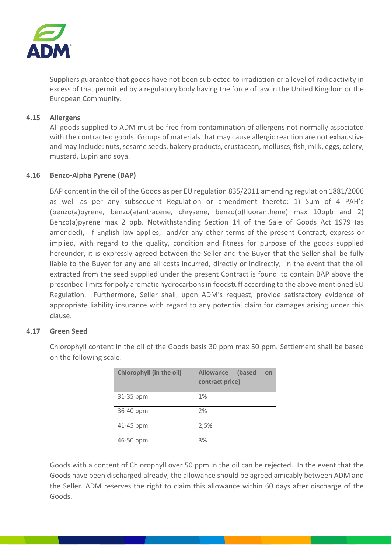

Suppliers guarantee that goods have not been subjected to irradiation or a level of radioactivity in excess of that permitted by a regulatory body having the force of law in the United Kingdom or the European Community.

## **4.15 Allergens**

All goods supplied to ADM must be free from contamination of allergens not normally associated with the contracted goods. Groups of materials that may cause allergic reaction are not exhaustive and may include: nuts, sesame seeds, bakery products, crustacean, molluscs, fish, milk, eggs, celery, mustard, Lupin and soya.

# **4.16 Benzo-Alpha Pyrene (BAP)**

BAP content in the oil of the Goods as per EU regulation 835/2011 amending regulation 1881/2006 as well as per any subsequent Regulation or amendment thereto: 1) Sum of 4 PAH's (benzo(a)pyrene, benzo(a)antracene, chrysene, benzo(b)fluoranthene) max 10ppb and 2) Benzo(a)pyrene max 2 ppb. Notwithstanding Section 14 of the Sale of Goods Act 1979 (as amended), if English law applies, and/or any other terms of the present Contract, express or implied, with regard to the quality, condition and fitness for purpose of the goods supplied hereunder, it is expressly agreed between the Seller and the Buyer that the Seller shall be fully liable to the Buyer for any and all costs incurred, directly or indirectly, in the event that the oil extracted from the seed supplied under the present Contract is found to contain BAP above the prescribed limits for poly aromatic hydrocarbons in foodstuff according to the above mentioned EU Regulation. Furthermore, Seller shall, upon ADM's request, provide satisfactory evidence of appropriate liability insurance with regard to any potential claim for damages arising under this clause.

### **4.17 Green Seed**

Chlorophyll content in the oil of the Goods basis 30 ppm max 50 ppm. Settlement shall be based on the following scale:

| Chlorophyll (in the oil) | <b>Allowance</b><br>(based<br>on<br>contract price) |
|--------------------------|-----------------------------------------------------|
| 31-35 ppm                | 1%                                                  |
| 36-40 ppm                | 2%                                                  |
| 41-45 ppm                | 2,5%                                                |
| 46-50 ppm                | 3%                                                  |

Goods with a content of Chlorophyll over 50 ppm in the oil can be rejected. In the event that the Goods have been discharged already, the allowance should be agreed amicably between ADM and the Seller. ADM reserves the right to claim this allowance within 60 days after discharge of the Goods.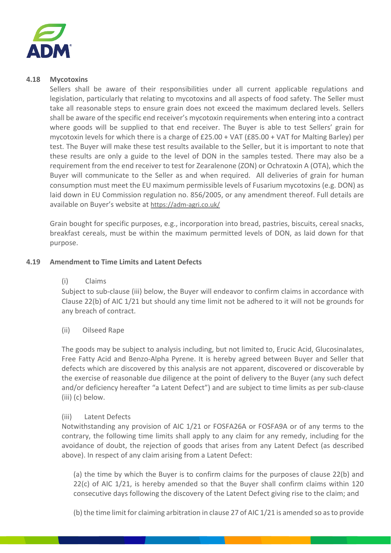

#### **4.18 Mycotoxins**

Sellers shall be aware of their responsibilities under all current applicable regulations and legislation, particularly that relating to mycotoxins and all aspects of food safety. The Seller must take all reasonable steps to ensure grain does not exceed the maximum declared levels. Sellers shall be aware of the specific end receiver's mycotoxin requirements when entering into a contract where goods will be supplied to that end receiver. The Buyer is able to test Sellers' grain for mycotoxin levels for which there is a charge of £25.00 + VAT (£85.00 + VAT for Malting Barley) per test. The Buyer will make these test results available to the Seller, but it is important to note that these results are only a guide to the level of DON in the samples tested. There may also be a requirement from the end receiver to test for Zearalenone (ZON) or Ochratoxin A (OTA), which the Buyer will communicate to the Seller as and when required. All deliveries of grain for human consumption must meet the EU maximum permissible levels of Fusarium mycotoxins (e.g. DON) as laid down in EU Commission regulation no. 856/2005, or any amendment thereof. Full details are available on Buyer's website at https://adm-agri.co.uk/

Grain bought for specific purposes, e.g., incorporation into bread, pastries, biscuits, cereal snacks, breakfast cereals, must be within the maximum permitted levels of DON, as laid down for that purpose.

### **4.19 Amendment to Time Limits and Latent Defects**

### (i) Claims

Subject to sub-clause (iii) below, the Buyer will endeavor to confirm claims in accordance with Clause 22(b) of AIC 1/21 but should any time limit not be adhered to it will not be grounds for any breach of contract.

### (ii) Oilseed Rape

The goods may be subject to analysis including, but not limited to, Erucic Acid, Glucosinalates, Free Fatty Acid and Benzo-Alpha Pyrene. It is hereby agreed between Buyer and Seller that defects which are discovered by this analysis are not apparent, discovered or discoverable by the exercise of reasonable due diligence at the point of delivery to the Buyer (any such defect and/or deficiency hereafter "a Latent Defect") and are subject to time limits as per sub-clause (iii) (c) below.

#### (iii) Latent Defects

Notwithstanding any provision of AIC 1/21 or FOSFA26A or FOSFA9A or of any terms to the contrary, the following time limits shall apply to any claim for any remedy, including for the avoidance of doubt, the rejection of goods that arises from any Latent Defect (as described above). In respect of any claim arising from a Latent Defect:

(a) the time by which the Buyer is to confirm claims for the purposes of clause 22(b) and 22(c) of AIC 1/21, is hereby amended so that the Buyer shall confirm claims within 120 consecutive days following the discovery of the Latent Defect giving rise to the claim; and

(b) the time limit for claiming arbitration in clause 27 of AIC 1/21 is amended so as to provide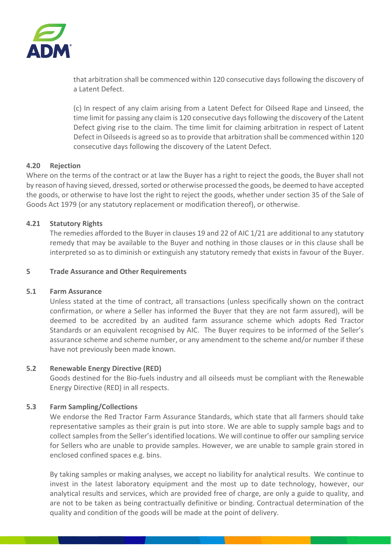

that arbitration shall be commenced within 120 consecutive days following the discovery of a Latent Defect.

(c) In respect of any claim arising from a Latent Defect for Oilseed Rape and Linseed, the time limit for passing any claim is 120 consecutive days following the discovery of the Latent Defect giving rise to the claim. The time limit for claiming arbitration in respect of Latent Defect in Oilseeds is agreed so as to provide that arbitration shall be commenced within 120 consecutive days following the discovery of the Latent Defect.

# **4.20 Rejection**

Where on the terms of the contract or at law the Buyer has a right to reject the goods, the Buyer shall not by reason of having sieved, dressed, sorted or otherwise processed the goods, be deemed to have accepted the goods, or otherwise to have lost the right to reject the goods, whether under section 35 of the Sale of Goods Act 1979 (or any statutory replacement or modification thereof), or otherwise.

# **4.21 Statutory Rights**

The remedies afforded to the Buyer in clauses 19 and 22 of AIC 1/21 are additional to any statutory remedy that may be available to the Buyer and nothing in those clauses or in this clause shall be interpreted so as to diminish or extinguish any statutory remedy that exists in favour of the Buyer.

### **5 Trade Assurance and Other Requirements**

### **5.1 Farm Assurance**

Unless stated at the time of contract, all transactions (unless specifically shown on the contract confirmation, or where a Seller has informed the Buyer that they are not farm assured), will be deemed to be accredited by an audited farm assurance scheme which adopts Red Tractor Standards or an equivalent recognised by AIC. The Buyer requires to be informed of the Seller's assurance scheme and scheme number, or any amendment to the scheme and/or number if these have not previously been made known.

### **5.2 Renewable Energy Directive (RED)**

Goods destined for the Bio-fuels industry and all oilseeds must be compliant with the Renewable Energy Directive (RED) in all respects.

### **5.3 Farm Sampling/Collections**

We endorse the Red Tractor Farm Assurance Standards, which state that all farmers should take representative samples as their grain is put into store. We are able to supply sample bags and to collect samples from the Seller's identified locations. We will continue to offer our sampling service for Sellers who are unable to provide samples. However, we are unable to sample grain stored in enclosed confined spaces e.g. bins.

By taking samples or making analyses, we accept no liability for analytical results. We continue to invest in the latest laboratory equipment and the most up to date technology, however, our analytical results and services, which are provided free of charge, are only a guide to quality, and are not to be taken as being contractually definitive or binding. Contractual determination of the quality and condition of the goods will be made at the point of delivery.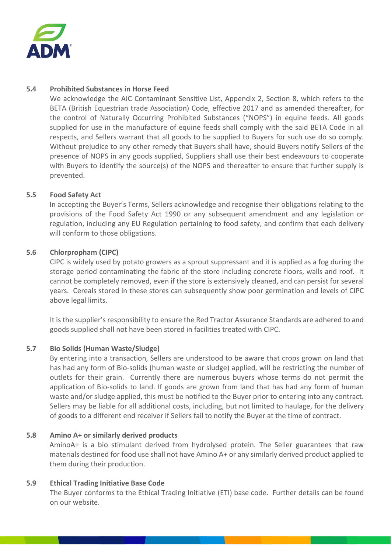

## **5.4 Prohibited Substances in Horse Feed**

We acknowledge the AIC Contaminant Sensitive List, Appendix 2, Section 8, which refers to the BETA (British Equestrian trade Association) Code, effective 2017 and as amended thereafter, for the control of Naturally Occurring Prohibited Substances ("NOPS") in equine feeds. All goods supplied for use in the manufacture of equine feeds shall comply with the said BETA Code in all respects, and Sellers warrant that all goods to be supplied to Buyers for such use do so comply. Without prejudice to any other remedy that Buyers shall have, should Buyers notify Sellers of the presence of NOPS in any goods supplied, Suppliers shall use their best endeavours to cooperate with Buyers to identify the source(s) of the NOPS and thereafter to ensure that further supply is prevented.

# **5.5 Food Safety Act**

In accepting the Buyer's Terms, Sellers acknowledge and recognise their obligations relating to the provisions of the Food Safety Act 1990 or any subsequent amendment and any legislation or regulation, including any EU Regulation pertaining to food safety, and confirm that each delivery will conform to those obligations.

# **5.6 Chlorpropham (CIPC)**

CIPC is widely used by potato growers as a sprout suppressant and it is applied as a fog during the storage period contaminating the fabric of the store including concrete floors, walls and roof. It cannot be completely removed, even if the store is extensively cleaned, and can persist for several years. Cereals stored in these stores can subsequently show poor germination and levels of CIPC above legal limits.

It is the supplier's responsibility to ensure the Red Tractor Assurance Standards are adhered to and goods supplied shall not have been stored in facilities treated with CIPC.

### **5.7 Bio Solids (Human Waste/Sludge)**

By entering into a transaction, Sellers are understood to be aware that crops grown on land that has had any form of Bio-solids (human waste or sludge) applied, will be restricting the number of outlets for their grain. Currently there are numerous buyers whose terms do not permit the application of Bio-solids to land. If goods are grown from land that has had any form of human waste and/or sludge applied, this must be notified to the Buyer prior to entering into any contract. Sellers may be liable for all additional costs, including, but not limited to haulage, for the delivery of goods to a different end receiver if Sellers fail to notify the Buyer at the time of contract.

### **5.8 Amino A+ or similarly derived products**

AminoA+ is a bio stimulant derived from hydrolysed protein. The Seller guarantees that raw materials destined for food use shall not have Amino A+ or any similarly derived product applied to them during their production.

### **5.9 Ethical Trading Initiative Base Code**

The Buyer conforms to the Ethical Trading Initiative (ETI) base code. Further details can be found on our website.